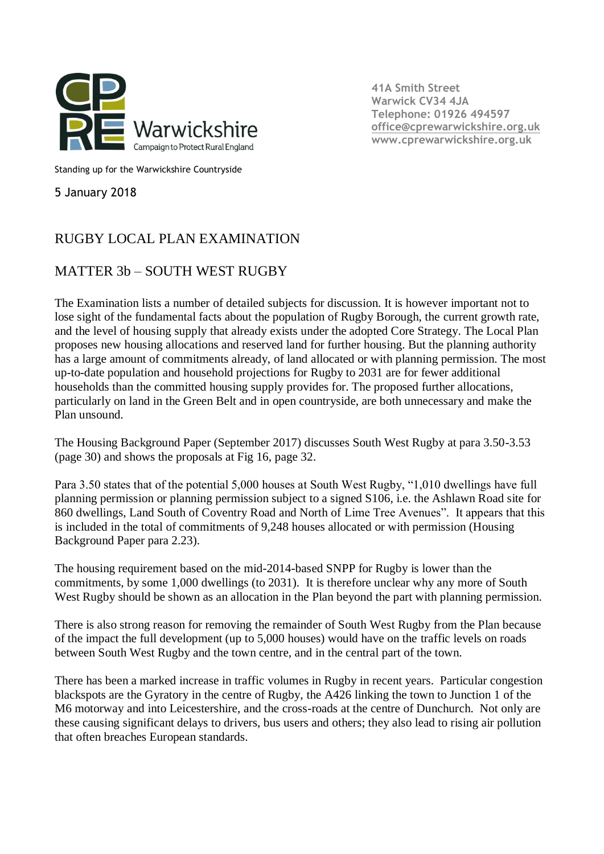

**41A Smith Street Warwick CV34 4JA Telephone: 01926 494597 [office@cprewarwickshire.org.uk](mailto:office@cprewarwickshire.org.uk) www.cprewarwickshire.org.uk**

Standing up for the Warwickshire Countryside

5 January 2018

## RUGBY LOCAL PLAN EXAMINATION

## MATTER 3b – SOUTH WEST RUGBY

The Examination lists a number of detailed subjects for discussion. It is however important not to lose sight of the fundamental facts about the population of Rugby Borough, the current growth rate, and the level of housing supply that already exists under the adopted Core Strategy. The Local Plan proposes new housing allocations and reserved land for further housing. But the planning authority has a large amount of commitments already, of land allocated or with planning permission. The most up-to-date population and household projections for Rugby to 2031 are for fewer additional households than the committed housing supply provides for. The proposed further allocations, particularly on land in the Green Belt and in open countryside, are both unnecessary and make the Plan unsound.

The Housing Background Paper (September 2017) discusses South West Rugby at para 3.50-3.53 (page 30) and shows the proposals at Fig 16, page 32.

Para 3.50 states that of the potential 5,000 houses at South West Rugby, "1,010 dwellings have full planning permission or planning permission subject to a signed S106, i.e. the Ashlawn Road site for 860 dwellings, Land South of Coventry Road and North of Lime Tree Avenues". It appears that this is included in the total of commitments of 9,248 houses allocated or with permission (Housing Background Paper para 2.23).

The housing requirement based on the mid-2014-based SNPP for Rugby is lower than the commitments, by some 1,000 dwellings (to 2031). It is therefore unclear why any more of South West Rugby should be shown as an allocation in the Plan beyond the part with planning permission.

There is also strong reason for removing the remainder of South West Rugby from the Plan because of the impact the full development (up to 5,000 houses) would have on the traffic levels on roads between South West Rugby and the town centre, and in the central part of the town.

There has been a marked increase in traffic volumes in Rugby in recent years. Particular congestion blackspots are the Gyratory in the centre of Rugby, the A426 linking the town to Junction 1 of the M6 motorway and into Leicestershire, and the cross-roads at the centre of Dunchurch. Not only are these causing significant delays to drivers, bus users and others; they also lead to rising air pollution that often breaches European standards.